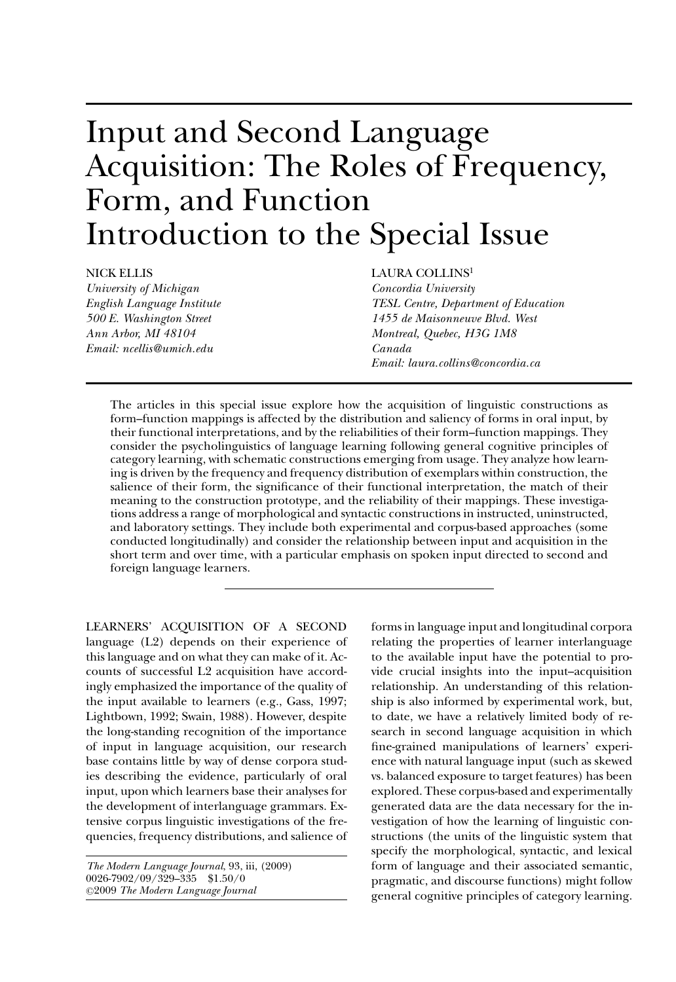# Input and Second Language Acquisition: The Roles of Frequency, Form, and Function Introduction to the Special Issue

| NICK ELLIS                 | LAURA COLLINS <sup>1</sup>                  |
|----------------------------|---------------------------------------------|
| University of Michigan     | Concordia University                        |
| English Language Institute | <b>TESL Centre, Department of Education</b> |
| 500 E. Washington Street   | 1455 de Maisonneuve Blvd. West              |
| Ann Arbor, MI 48104        | Montreal, Quebec, H3G 1M8                   |
| Email: ncellis@umich.edu   | Canada                                      |
|                            | Email: laura.collins@concordia.ca           |

The articles in this special issue explore how the acquisition of linguistic constructions as form–function mappings is affected by the distribution and saliency of forms in oral input, by their functional interpretations, and by the reliabilities of their form–function mappings. They consider the psycholinguistics of language learning following general cognitive principles of category learning, with schematic constructions emerging from usage. They analyze how learning is driven by the frequency and frequency distribution of exemplars within construction, the salience of their form, the significance of their functional interpretation, the match of their meaning to the construction prototype, and the reliability of their mappings. These investigations address a range of morphological and syntactic constructions in instructed, uninstructed, and laboratory settings. They include both experimental and corpus-based approaches (some conducted longitudinally) and consider the relationship between input and acquisition in the short term and over time, with a particular emphasis on spoken input directed to second and foreign language learners.

LEARNERS' ACQUISITION OF A SECOND language (L2) depends on their experience of this language and on what they can make of it. Accounts of successful L2 acquisition have accordingly emphasized the importance of the quality of the input available to learners (e.g., Gass, 1997; Lightbown, 1992; Swain, 1988). However, despite the long-standing recognition of the importance of input in language acquisition, our research base contains little by way of dense corpora studies describing the evidence, particularly of oral input, upon which learners base their analyses for the development of interlanguage grammars. Extensive corpus linguistic investigations of the frequencies, frequency distributions, and salience of

forms in language input and longitudinal corpora relating the properties of learner interlanguage to the available input have the potential to provide crucial insights into the input–acquisition relationship. An understanding of this relationship is also informed by experimental work, but, to date, we have a relatively limited body of research in second language acquisition in which fine-grained manipulations of learners' experience with natural language input (such as skewed vs. balanced exposure to target features) has been explored. These corpus-based and experimentally generated data are the data necessary for the investigation of how the learning of linguistic constructions (the units of the linguistic system that specify the morphological, syntactic, and lexical form of language and their associated semantic, pragmatic, and discourse functions) might follow general cognitive principles of category learning.

*The Modern Language Journal*, 93, iii, (2009) 0026-7902/09/329–335 \$1.50/0 -<sup>C</sup> 2009 *The Modern Language Journal*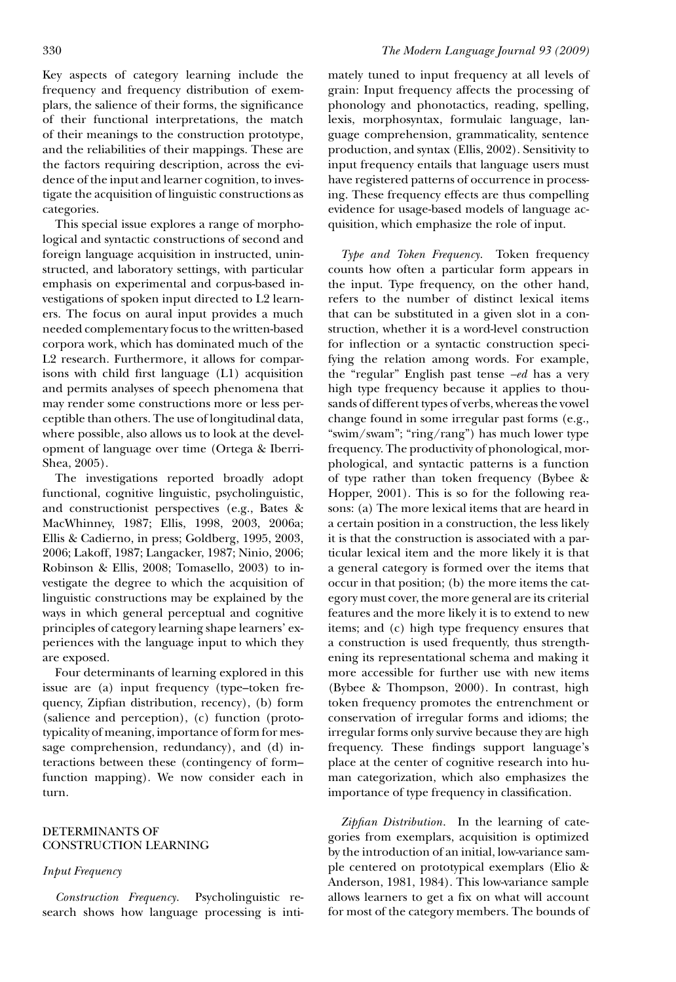Key aspects of category learning include the frequency and frequency distribution of exemplars, the salience of their forms, the significance of their functional interpretations, the match of their meanings to the construction prototype, and the reliabilities of their mappings. These are the factors requiring description, across the evidence of the input and learner cognition, to investigate the acquisition of linguistic constructions as categories.

This special issue explores a range of morphological and syntactic constructions of second and foreign language acquisition in instructed, uninstructed, and laboratory settings, with particular emphasis on experimental and corpus-based investigations of spoken input directed to L2 learners. The focus on aural input provides a much needed complementary focus to the written-based corpora work, which has dominated much of the L2 research. Furthermore, it allows for comparisons with child first language (L1) acquisition and permits analyses of speech phenomena that may render some constructions more or less perceptible than others. The use of longitudinal data, where possible, also allows us to look at the development of language over time (Ortega & Iberri-Shea, 2005).

The investigations reported broadly adopt functional, cognitive linguistic, psycholinguistic, and constructionist perspectives (e.g., Bates & MacWhinney, 1987; Ellis, 1998, 2003, 2006a; Ellis & Cadierno, in press; Goldberg, 1995, 2003, 2006; Lakoff, 1987; Langacker, 1987; Ninio, 2006; Robinson & Ellis, 2008; Tomasello, 2003) to investigate the degree to which the acquisition of linguistic constructions may be explained by the ways in which general perceptual and cognitive principles of category learning shape learners' experiences with the language input to which they are exposed.

Four determinants of learning explored in this issue are (a) input frequency (type–token frequency, Zipfian distribution, recency), (b) form (salience and perception), (c) function (prototypicality of meaning, importance of form for message comprehension, redundancy), and (d) interactions between these (contingency of form– function mapping). We now consider each in turn.

# DETERMINANTS OF CONSTRUCTION LEARNING

### *Input Frequency*

*Construction Frequency*. Psycholinguistic research shows how language processing is intimately tuned to input frequency at all levels of grain: Input frequency affects the processing of phonology and phonotactics, reading, spelling, lexis, morphosyntax, formulaic language, language comprehension, grammaticality, sentence production, and syntax (Ellis, 2002). Sensitivity to input frequency entails that language users must have registered patterns of occurrence in processing. These frequency effects are thus compelling evidence for usage-based models of language acquisition, which emphasize the role of input.

*Type and Token Frequency*. Token frequency counts how often a particular form appears in the input. Type frequency, on the other hand, refers to the number of distinct lexical items that can be substituted in a given slot in a construction, whether it is a word-level construction for inflection or a syntactic construction specifying the relation among words. For example, the "regular" English past tense *–ed* has a very high type frequency because it applies to thousands of different types of verbs, whereas the vowel change found in some irregular past forms (e.g., "swim/swam"; "ring/rang") has much lower type frequency. The productivity of phonological, morphological, and syntactic patterns is a function of type rather than token frequency (Bybee & Hopper, 2001). This is so for the following reasons: (a) The more lexical items that are heard in a certain position in a construction, the less likely it is that the construction is associated with a particular lexical item and the more likely it is that a general category is formed over the items that occur in that position; (b) the more items the category must cover, the more general are its criterial features and the more likely it is to extend to new items; and (c) high type frequency ensures that a construction is used frequently, thus strengthening its representational schema and making it more accessible for further use with new items (Bybee & Thompson, 2000). In contrast, high token frequency promotes the entrenchment or conservation of irregular forms and idioms; the irregular forms only survive because they are high frequency. These findings support language's place at the center of cognitive research into human categorization, which also emphasizes the importance of type frequency in classification.

*Zipfian Distribution*. In the learning of categories from exemplars, acquisition is optimized by the introduction of an initial, low-variance sample centered on prototypical exemplars (Elio & Anderson, 1981, 1984). This low-variance sample allows learners to get a fix on what will account for most of the category members. The bounds of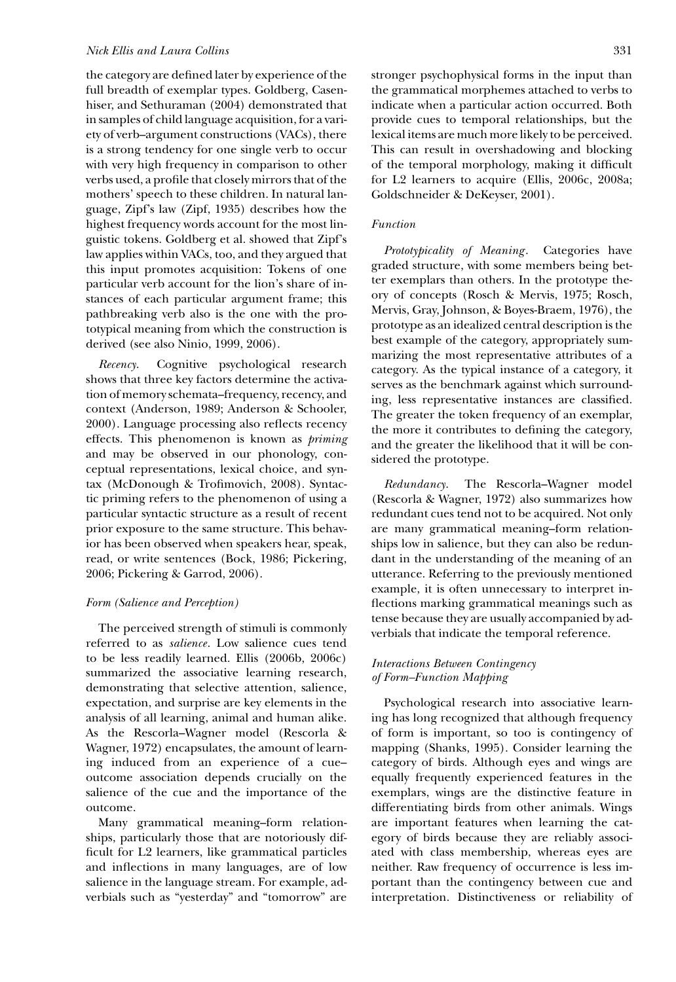# *Nick Ellis and Laura Collins* 331

the category are defined later by experience of the full breadth of exemplar types. Goldberg, Casenhiser, and Sethuraman (2004) demonstrated that in samples of child language acquisition, for a variety of verb–argument constructions (VACs), there is a strong tendency for one single verb to occur with very high frequency in comparison to other verbs used, a profile that closely mirrors that of the mothers' speech to these children. In natural language, Zipf's law (Zipf, 1935) describes how the highest frequency words account for the most linguistic tokens. Goldberg et al. showed that Zipf's law applies within VACs, too, and they argued that this input promotes acquisition: Tokens of one particular verb account for the lion's share of instances of each particular argument frame; this pathbreaking verb also is the one with the prototypical meaning from which the construction is derived (see also Ninio, 1999, 2006).

*Recency*. Cognitive psychological research shows that three key factors determine the activation of memory schemata–frequency, recency, and context (Anderson, 1989; Anderson & Schooler, 2000). Language processing also reflects recency effects. This phenomenon is known as *priming* and may be observed in our phonology, conceptual representations, lexical choice, and syntax (McDonough & Trofimovich, 2008). Syntactic priming refers to the phenomenon of using a particular syntactic structure as a result of recent prior exposure to the same structure. This behavior has been observed when speakers hear, speak, read, or write sentences (Bock, 1986; Pickering, 2006; Pickering & Garrod, 2006).

### *Form (Salience and Perception)*

The perceived strength of stimuli is commonly referred to as *salience*. Low salience cues tend to be less readily learned. Ellis (2006b, 2006c) summarized the associative learning research, demonstrating that selective attention, salience, expectation, and surprise are key elements in the analysis of all learning, animal and human alike. As the Rescorla–Wagner model (Rescorla & Wagner, 1972) encapsulates, the amount of learning induced from an experience of a cue– outcome association depends crucially on the salience of the cue and the importance of the outcome.

Many grammatical meaning–form relationships, particularly those that are notoriously difficult for L2 learners, like grammatical particles and inflections in many languages, are of low salience in the language stream. For example, adverbials such as "yesterday" and "tomorrow" are stronger psychophysical forms in the input than the grammatical morphemes attached to verbs to indicate when a particular action occurred. Both provide cues to temporal relationships, but the lexical items are much more likely to be perceived. This can result in overshadowing and blocking of the temporal morphology, making it difficult for L2 learners to acquire (Ellis, 2006c, 2008a; Goldschneider & DeKeyser, 2001).

#### *Function*

Prototypicality of Meaning. Categories have graded structure, with some members being better exemplars than others. In the prototype theory of concepts (Rosch & Mervis, 1975; Rosch, Mervis, Gray, Johnson, & Boyes-Braem, 1976), the prototype as an idealized central description is the best example of the category, appropriately summarizing the most representative attributes of a category. As the typical instance of a category, it serves as the benchmark against which surrounding, less representative instances are classified. The greater the token frequency of an exemplar, the more it contributes to defining the category, and the greater the likelihood that it will be considered the prototype.

*Redundancy*. The Rescorla–Wagner model (Rescorla & Wagner, 1972) also summarizes how redundant cues tend not to be acquired. Not only are many grammatical meaning–form relationships low in salience, but they can also be redundant in the understanding of the meaning of an utterance. Referring to the previously mentioned example, it is often unnecessary to interpret inflections marking grammatical meanings such as tense because they are usually accompanied by adverbials that indicate the temporal reference.

# *Interactions Between Contingency of Form–Function Mapping*

Psychological research into associative learning has long recognized that although frequency of form is important, so too is contingency of mapping (Shanks, 1995). Consider learning the category of birds. Although eyes and wings are equally frequently experienced features in the exemplars, wings are the distinctive feature in differentiating birds from other animals. Wings are important features when learning the category of birds because they are reliably associated with class membership, whereas eyes are neither. Raw frequency of occurrence is less important than the contingency between cue and interpretation. Distinctiveness or reliability of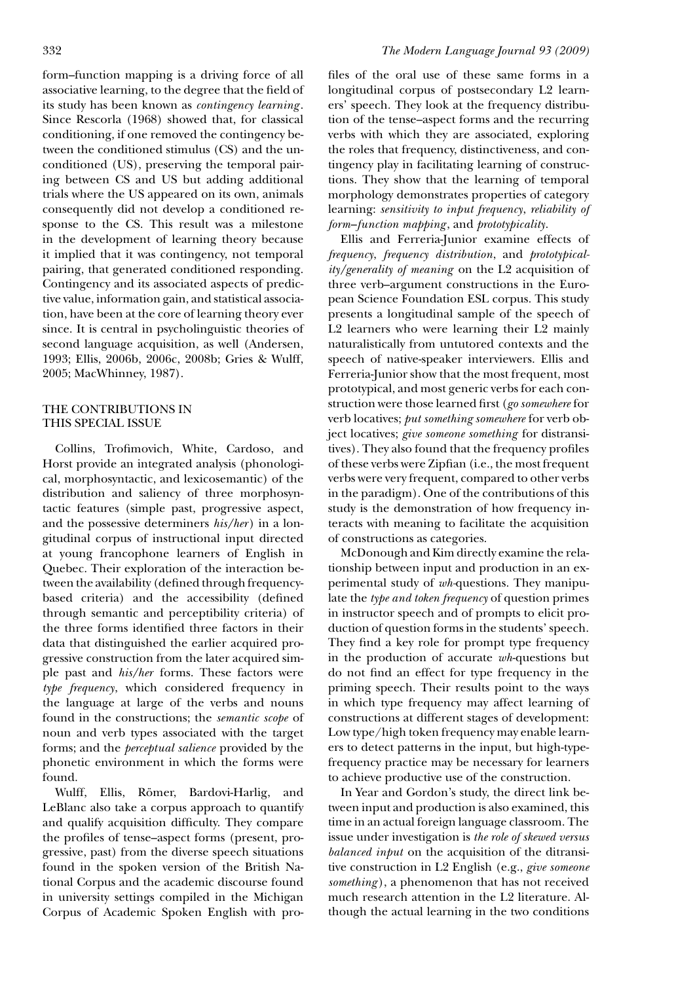form–function mapping is a driving force of all associative learning, to the degree that the field of its study has been known as *contingency learning* . Since Rescorla (1968) showed that, for classical conditioning, if one removed the contingency between the conditioned stimulus (CS) and the unconditioned (US), preserving the temporal pairing between CS and US but adding additional trials where the US appeared on its own, animals consequently did not develop a conditioned response to the CS. This result was a milestone in the development of learning theory because it implied that it was contingency, not temporal pairing, that generated conditioned responding. Contingency and its associated aspects of predictive value, information gain, and statistical association, have been at the core of learning theory ever since. It is central in psycholinguistic theories of second language acquisition, as well (Andersen, 1993; Ellis, 2006b, 2006c, 2008b; Gries & Wulff, 2005; MacWhinney, 1987).

# THE CONTRIBUTIONS IN THIS SPECIAL ISSUE

Collins, Trofimovich, White, Cardoso, and Horst provide an integrated analysis (phonological, morphosyntactic, and lexicosemantic) of the distribution and saliency of three morphosyntactic features (simple past, progressive aspect, and the possessive determiners *his/her* ) in a longitudinal corpus of instructional input directed at young francophone learners of English in Quebec. Their exploration of the interaction between the availability (defined through frequencybased criteria) and the accessibility (defined through semantic and perceptibility criteria) of the three forms identified three factors in their data that distinguished the earlier acquired progressive construction from the later acquired simple past and *his/her* forms. These factors were *type frequency*, which considered frequency in the language at large of the verbs and nouns found in the constructions; the *semantic scope* of noun and verb types associated with the target forms; and the *perceptual salience* provided by the phonetic environment in which the forms were found.

Wulff, Ellis, Römer, Bardovi-Harlig, and LeBlanc also take a corpus approach to quantify and qualify acquisition difficulty. They compare the profiles of tense–aspect forms (present, progressive, past) from the diverse speech situations found in the spoken version of the British National Corpus and the academic discourse found in university settings compiled in the Michigan Corpus of Academic Spoken English with pro-

files of the oral use of these same forms in a longitudinal corpus of postsecondary L2 learners' speech. They look at the frequency distribution of the tense–aspect forms and the recurring verbs with which they are associated, exploring the roles that frequency, distinctiveness, and contingency play in facilitating learning of constructions. They show that the learning of temporal morphology demonstrates properties of category learning: *sensitivity to input frequency*, *reliability of form*–*function mapping* , and *prototypicality*.

Ellis and Ferreria-Junior examine effects of *frequency*, *frequency distribution*, and *prototypicality/generality of meaning* on the L2 acquisition of three verb–argument constructions in the European Science Foundation ESL corpus. This study presents a longitudinal sample of the speech of L2 learners who were learning their L2 mainly naturalistically from untutored contexts and the speech of native-speaker interviewers. Ellis and Ferreria-Junior show that the most frequent, most prototypical, and most generic verbs for each construction were those learned first (*go somewhere* for verb locatives; *put something somewhere* for verb object locatives; *give someone something* for distransitives). They also found that the frequency profiles of these verbs were Zipfian (i.e., the most frequent verbs were very frequent, compared to other verbs in the paradigm). One of the contributions of this study is the demonstration of how frequency interacts with meaning to facilitate the acquisition of constructions as categories.

McDonough and Kim directly examine the relationship between input and production in an experimental study of *wh-*questions. They manipulate the *type and token frequency* of question primes in instructor speech and of prompts to elicit production of question forms in the students' speech. They find a key role for prompt type frequency in the production of accurate *wh*-questions but do not find an effect for type frequency in the priming speech. Their results point to the ways in which type frequency may affect learning of constructions at different stages of development: Low type/high token frequency may enable learners to detect patterns in the input, but high-typefrequency practice may be necessary for learners to achieve productive use of the construction.

In Year and Gordon's study, the direct link between input and production is also examined, this time in an actual foreign language classroom. The issue under investigation is *the role of skewed versus balanced input* on the acquisition of the ditransitive construction in L2 English (e.g., *give someone something* ), a phenomenon that has not received much research attention in the L2 literature. Although the actual learning in the two conditions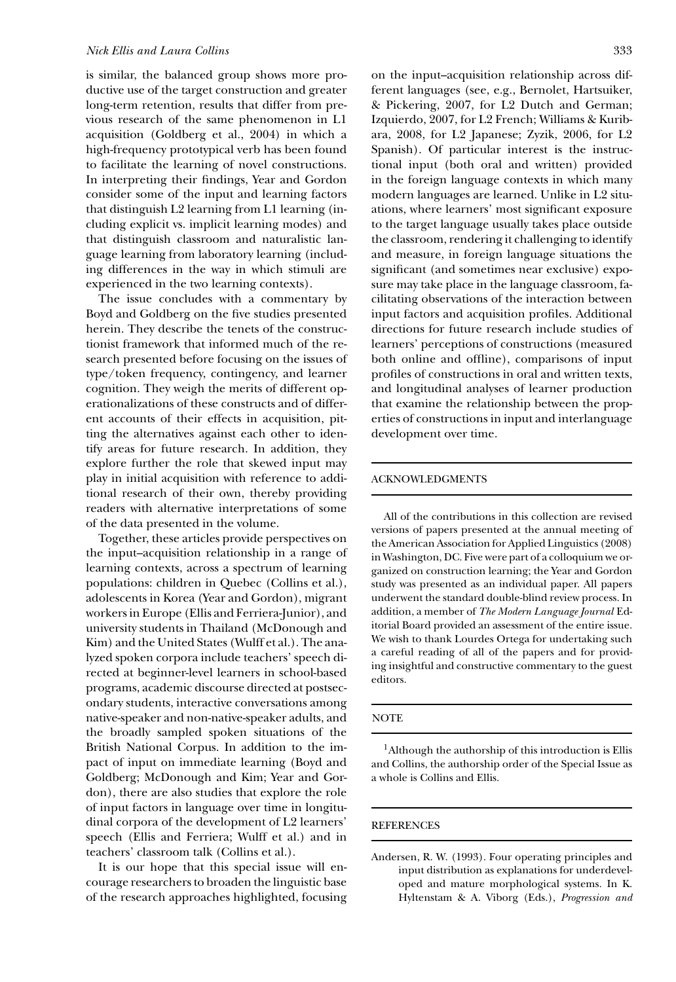is similar, the balanced group shows more productive use of the target construction and greater long-term retention, results that differ from previous research of the same phenomenon in L1 acquisition (Goldberg et al., 2004) in which a high-frequency prototypical verb has been found to facilitate the learning of novel constructions. In interpreting their findings, Year and Gordon consider some of the input and learning factors that distinguish L2 learning from L1 learning (including explicit vs. implicit learning modes) and that distinguish classroom and naturalistic language learning from laboratory learning (including differences in the way in which stimuli are experienced in the two learning contexts).

The issue concludes with a commentary by Boyd and Goldberg on the five studies presented herein. They describe the tenets of the constructionist framework that informed much of the research presented before focusing on the issues of type/token frequency, contingency, and learner cognition. They weigh the merits of different operationalizations of these constructs and of different accounts of their effects in acquisition, pitting the alternatives against each other to identify areas for future research. In addition, they explore further the role that skewed input may play in initial acquisition with reference to additional research of their own, thereby providing readers with alternative interpretations of some of the data presented in the volume.

Together, these articles provide perspectives on the input–acquisition relationship in a range of learning contexts, across a spectrum of learning populations: children in Quebec (Collins et al.), adolescents in Korea (Year and Gordon), migrant workers in Europe (Ellis and Ferriera-Junior), and university students in Thailand (McDonough and Kim) and the United States (Wulff et al.). The analyzed spoken corpora include teachers' speech directed at beginner-level learners in school-based programs, academic discourse directed at postsecondary students, interactive conversations among native-speaker and non-native-speaker adults, and the broadly sampled spoken situations of the British National Corpus. In addition to the impact of input on immediate learning (Boyd and Goldberg; McDonough and Kim; Year and Gordon), there are also studies that explore the role of input factors in language over time in longitudinal corpora of the development of L2 learners' speech (Ellis and Ferriera; Wulff et al.) and in teachers' classroom talk (Collins et al.).

It is our hope that this special issue will encourage researchers to broaden the linguistic base of the research approaches highlighted, focusing

on the input–acquisition relationship across different languages (see, e.g., Bernolet, Hartsuiker, & Pickering, 2007, for L2 Dutch and German; Izquierdo, 2007, for L2 French; Williams & Kuribara, 2008, for L2 Japanese; Zyzik, 2006, for L2 Spanish). Of particular interest is the instructional input (both oral and written) provided in the foreign language contexts in which many modern languages are learned. Unlike in L2 situations, where learners' most significant exposure to the target language usually takes place outside the classroom, rendering it challenging to identify and measure, in foreign language situations the significant (and sometimes near exclusive) exposure may take place in the language classroom, facilitating observations of the interaction between input factors and acquisition profiles. Additional directions for future research include studies of learners' perceptions of constructions (measured both online and offline), comparisons of input profiles of constructions in oral and written texts, and longitudinal analyses of learner production that examine the relationship between the properties of constructions in input and interlanguage development over time.

#### ACKNOWLEDGMENTS

All of the contributions in this collection are revised versions of papers presented at the annual meeting of the American Association for Applied Linguistics (2008) in Washington, DC. Five were part of a colloquium we organized on construction learning; the Year and Gordon study was presented as an individual paper. All papers underwent the standard double-blind review process. In addition, a member of *The Modern Language Journal* Editorial Board provided an assessment of the entire issue. We wish to thank Lourdes Ortega for undertaking such a careful reading of all of the papers and for providing insightful and constructive commentary to the guest editors.

#### **NOTE**

1Although the authorship of this introduction is Ellis and Collins, the authorship order of the Special Issue as a whole is Collins and Ellis.

#### **REFERENCES**

Andersen, R. W. (1993). Four operating principles and input distribution as explanations for underdeveloped and mature morphological systems. In K. Hyltenstam & A. Viborg (Eds.), *Progression and*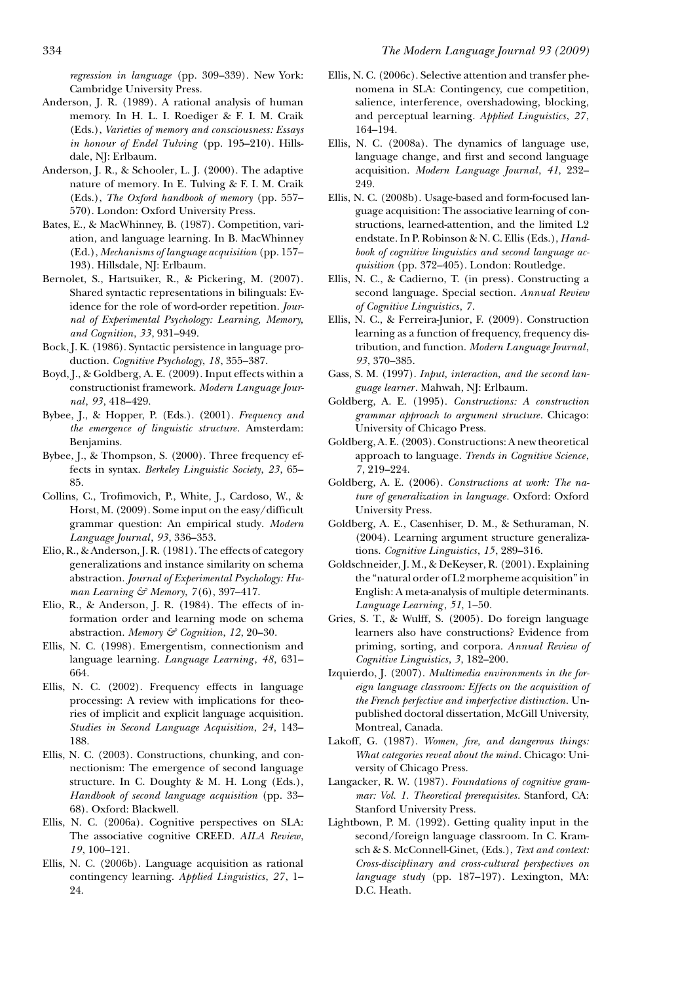*regression in language* (pp. 309–339). New York: Cambridge University Press.

- Anderson, J. R. (1989). A rational analysis of human memory. In H. L. I. Roediger & F. I. M. Craik (Eds.), *Varieties of memory and consciousness: Essays in honour of Endel Tulving* (pp. 195–210). Hillsdale, NJ: Erlbaum.
- Anderson, J. R., & Schooler, L. J. (2000). The adaptive nature of memory. In E. Tulving & F. I. M. Craik (Eds.), *The Oxford handbook of memory* (pp. 557– 570). London: Oxford University Press.
- Bates, E., & MacWhinney, B. (1987). Competition, variation, and language learning. In B. MacWhinney (Ed.), *Mechanisms of language acquisition* (pp. 157– 193). Hillsdale, NJ: Erlbaum.
- Bernolet, S., Hartsuiker, R., & Pickering, M. (2007). Shared syntactic representations in bilinguals: Evidence for the role of word-order repetition. *Journal of Experimental Psychology: Learning, Memory, and Cognition*, *33*, 931–949.
- Bock, J. K. (1986). Syntactic persistence in language production. *Cognitive Psychology*, *18*, 355–387.
- Boyd, J., & Goldberg, A. E. (2009). Input effects within a constructionist framework. *Modern Language Journal*, *93*, 418–429.
- Bybee, J., & Hopper, P. (Eds.). (2001). *Frequency and the emergence of linguistic structure*. Amsterdam: Benjamins.
- Bybee, J., & Thompson, S. (2000). Three frequency effects in syntax. *Berkeley Linguistic Society*, *23*, 65– 85.
- Collins, C., Trofimovich, P., White, J., Cardoso, W., & Horst, M. (2009). Some input on the easy/difficult grammar question: An empirical study. *Modern Language Journal*, *93*, 336–353.
- Elio, R., & Anderson, J. R. (1981). The effects of category generalizations and instance similarity on schema abstraction. *Journal of Experimental Psychology: Human Learning & Memory*, *7*(6), 397–417.
- Elio, R., & Anderson, J. R. (1984). The effects of information order and learning mode on schema abstraction. *Memory & Cognition*, *12*, 20–30.
- Ellis, N. C. (1998). Emergentism, connectionism and language learning. *Language Learning*, 48, 631-664.
- Ellis, N. C. (2002). Frequency effects in language processing: A review with implications for theories of implicit and explicit language acquisition. *Studies in Second Language Acquisition*, *24*, 143– 188.
- Ellis, N. C. (2003). Constructions, chunking, and connectionism: The emergence of second language structure. In C. Doughty & M. H. Long (Eds.), *Handbook of second language acquisition* (pp. 33– 68). Oxford: Blackwell.
- Ellis, N. C. (2006a). Cognitive perspectives on SLA: The associative cognitive CREED. *AILA Review*, *19*, 100–121.
- Ellis, N. C. (2006b). Language acquisition as rational contingency learning. *Applied Linguistics*, *27*, 1– 24.
- Ellis, N. C. (2006c). Selective attention and transfer phenomena in SLA: Contingency, cue competition, salience, interference, overshadowing, blocking, and perceptual learning. *Applied Linguistics*, *27*, 164–194.
- Ellis, N. C. (2008a). The dynamics of language use, language change, and first and second language acquisition. *Modern Language Journal*, *41*, 232– 249.
- Ellis, N. C. (2008b). Usage-based and form-focused language acquisition: The associative learning of constructions, learned-attention, and the limited L2 endstate. In P. Robinson & N. C. Ellis (Eds.), *Handbook of cognitive linguistics and second language acquisition* (pp. 372–405). London: Routledge.
- Ellis, N. C., & Cadierno, T. (in press). Constructing a second language. Special section. *Annual Review of Cognitive Linguistics*, *7*.
- Ellis, N. C., & Ferreira-Junior, F. (2009). Construction learning as a function of frequency, frequency distribution, and function. *Modern Language Journal*, *93*, 370–385.
- Gass, S. M. (1997). *Input, interaction, and the second language learner*. Mahwah, NJ: Erlbaum.
- Goldberg, A. E. (1995). *Constructions: A construction grammar approach to argument structure*. Chicago: University of Chicago Press.
- Goldberg, A. E. (2003). Constructions: A new theoretical approach to language. *Trends in Cognitive Science*, *7*, 219–224.
- Goldberg, A. E. (2006). *Constructions at work: The nature of generalization in language*. Oxford: Oxford University Press.
- Goldberg, A. E., Casenhiser, D. M., & Sethuraman, N. (2004). Learning argument structure generalizations. *Cognitive Linguistics*, *15*, 289–316.
- Goldschneider, J. M., & DeKeyser, R. (2001). Explaining the "natural order of L2 morpheme acquisition" in English: A meta-analysis of multiple determinants. *Language Learning* , *51*, 1–50.
- Gries, S. T., & Wulff, S. (2005). Do foreign language learners also have constructions? Evidence from priming, sorting, and corpora. *Annual Review of Cognitive Linguistics*, *3*, 182–200.
- Izquierdo, J. (2007). *Multimedia environments in the foreign language classroom: Effects on the acquisition of the French perfective and imperfective distinction*. Unpublished doctoral dissertation, McGill University, Montreal, Canada.
- Lakoff, G. (1987). *Women, fire, and dangerous things: What categories reveal about the mind*. Chicago: University of Chicago Press.
- Langacker, R. W. (1987). *Foundations of cognitive grammar: Vol. 1. Theoretical prerequisites*. Stanford, CA: Stanford University Press.
- Lightbown, P. M. (1992). Getting quality input in the second/foreign language classroom. In C. Kramsch & S. McConnell-Ginet, (Eds.), *Text and context: Cross-disciplinary and cross-cultural perspectives on language study* (pp. 187–197). Lexington, MA: D.C. Heath.